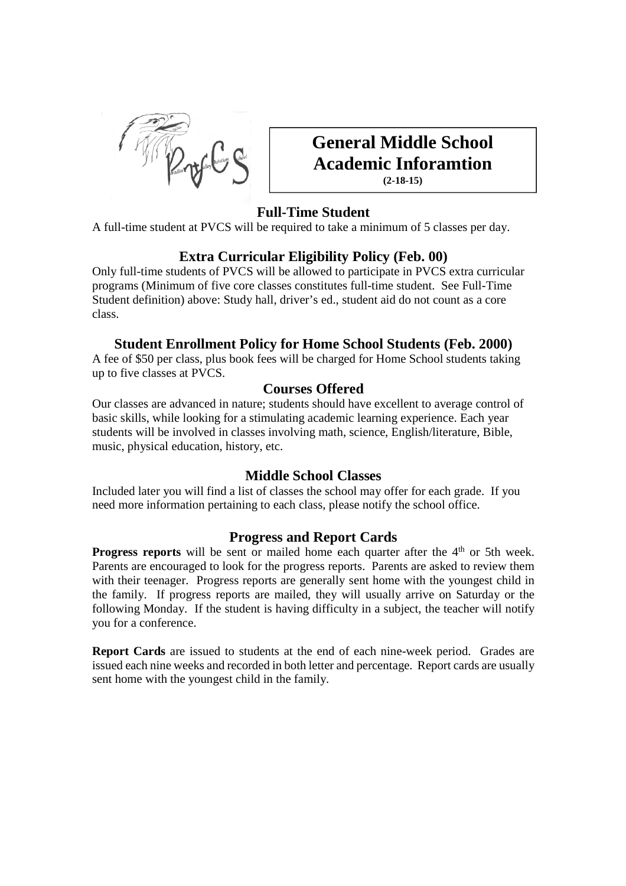

# **General Middle School Academic Inforamtion (2-18-15)**

# **Full-Time Student**

A full-time student at PVCS will be required to take a minimum of 5 classes per day.

# **Extra Curricular Eligibility Policy (Feb. 00)**

Only full-time students of PVCS will be allowed to participate in PVCS extra curricular programs (Minimum of five core classes constitutes full-time student. See Full-Time Student definition) above: Study hall, driver's ed., student aid do not count as a core class.

## **Student Enrollment Policy for Home School Students (Feb. 2000)**

A fee of \$50 per class, plus book fees will be charged for Home School students taking up to five classes at PVCS.

### **Courses Offered**

Our classes are advanced in nature; students should have excellent to average control of basic skills, while looking for a stimulating academic learning experience. Each year students will be involved in classes involving math, science, English/literature, Bible, music, physical education, history, etc.

# **Middle School Classes**

Included later you will find a list of classes the school may offer for each grade. If you need more information pertaining to each class, please notify the school office.

### **Progress and Report Cards**

**Progress reports** will be sent or mailed home each quarter after the 4<sup>th</sup> or 5th week. Parents are encouraged to look for the progress reports. Parents are asked to review them with their teenager. Progress reports are generally sent home with the youngest child in the family. If progress reports are mailed, they will usually arrive on Saturday or the following Monday. If the student is having difficulty in a subject, the teacher will notify you for a conference.

**Report Cards** are issued to students at the end of each nine-week period. Grades are issued each nine weeks and recorded in both letter and percentage. Report cards are usually sent home with the youngest child in the family.